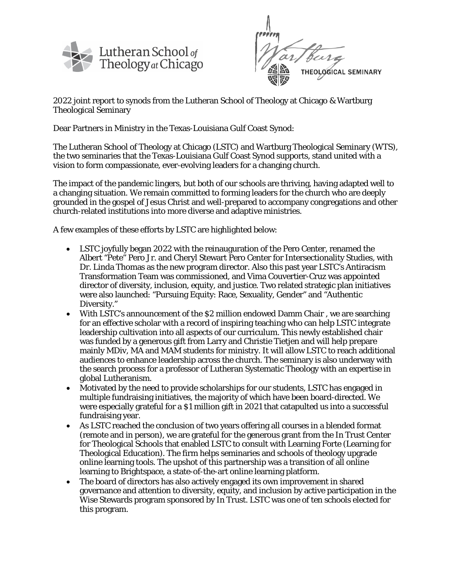

**THEOLOGICAL SEMINARY** 

2022 joint report to synods from the Lutheran School of Theology at Chicago & Wartburg Theological Seminary

Dear Partners in Ministry in the Texas-Louisiana Gulf Coast Synod:

The Lutheran School of Theology at Chicago (LSTC) and Wartburg Theological Seminary (WTS), the two seminaries that the Texas-Louisiana Gulf Coast Synod supports, stand united with a vision to form compassionate, ever-evolving leaders for a changing church.

The impact of the pandemic lingers, but both of our schools are thriving, having adapted well to a changing situation. We remain committed to forming leaders for the church who are deeply grounded in the gospel of Jesus Christ and well-prepared to accompany congregations and other church-related institutions into more diverse and adaptive ministries.

A few examples of these efforts by LSTC are highlighted below:

- LSTC joyfully began 2022 with the reinauguration of the Pero Center, renamed the Albert "Pete" Pero Jr. and Cheryl Stewart Pero Center for Intersectionality Studies, with Dr. Linda Thomas as the new program director. Also this past year LSTC's Antiracism Transformation Team was commissioned, and Vima Couvertier-Cruz was appointed director of diversity, inclusion, equity, and justice. Two related strategic plan initiatives were also launched: "Pursuing Equity: Race, Sexuality, Gender" and "Authentic Diversity."
- With LSTC's announcement of the \$2 million endowed Damm Chair, we are searching for an effective scholar with a record of inspiring teaching who can help LSTC integrate leadership cultivation into all aspects of our curriculum. This newly established chair was funded by a generous gift from Larry and Christie Tietjen and will help prepare mainly MDiv, MA and MAM students for ministry. It will allow LSTC to reach additional audiences to enhance leadership across the church. The seminary is also underway with the search process for a professor of Lutheran Systematic Theology with an expertise in global Lutheranism.
- Motivated by the need to provide scholarships for our students, LSTC has engaged in multiple fundraising initiatives, the majority of which have been board-directed. We were especially grateful for a \$1 million gift in 2021 that catapulted us into a successful fundraising year.
- As LSTC reached the conclusion of two years offering all courses in a blended format (remote and in person), we are grateful for the generous grant from the In Trust Center for Theological Schools that enabled LSTC to consult with Learning Forte (Learning for Theological Education). The firm helps seminaries and schools of theology upgrade online learning tools. The upshot of this partnership was a transition of all online learning to Brightspace, a state-of-the-art online learning platform.
- The board of directors has also actively engaged its own improvement in shared governance and attention to diversity, equity, and inclusion by active participation in the Wise Stewards program sponsored by In Trust. LSTC was one of ten schools elected for this program.